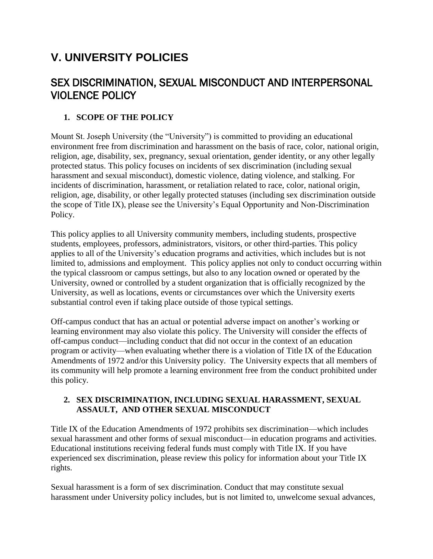# **V. UNIVERSITY POLICIES**

# SEX DISCRIMINATION, SEXUAL MISCONDUCT AND INTERPERSONAL VIOLENCE POLICY

# **1. SCOPE OF THE POLICY**

Mount St. Joseph University (the "University") is committed to providing an educational environment free from discrimination and harassment on the basis of race, color, national origin, religion, age, disability, sex, pregnancy, sexual orientation, gender identity, or any other legally protected status. This policy focuses on incidents of sex discrimination (including sexual harassment and sexual misconduct), domestic violence, dating violence, and stalking. For incidents of discrimination, harassment, or retaliation related to race, color, national origin, religion, age, disability, or other legally protected statuses (including sex discrimination outside the scope of Title IX), please see the University's Equal Opportunity and Non-Discrimination Policy.

This policy applies to all University community members, including students, prospective students, employees, professors, administrators, visitors, or other third-parties. This policy applies to all of the University's education programs and activities, which includes but is not limited to, admissions and employment. This policy applies not only to conduct occurring within the typical classroom or campus settings, but also to any location owned or operated by the University, owned or controlled by a student organization that is officially recognized by the University, as well as locations, events or circumstances over which the University exerts substantial control even if taking place outside of those typical settings.

Off-campus conduct that has an actual or potential adverse impact on another's working or learning environment may also violate this policy. The University will consider the effects of off-campus conduct—including conduct that did not occur in the context of an education program or activity—when evaluating whether there is a violation of Title IX of the Education Amendments of 1972 and/or this University policy. The University expects that all members of its community will help promote a learning environment free from the conduct prohibited under this policy.

# **2. SEX DISCRIMINATION, INCLUDING SEXUAL HARASSMENT, SEXUAL ASSAULT, AND OTHER SEXUAL MISCONDUCT**

Title IX of the Education Amendments of 1972 prohibits sex discrimination—which includes sexual harassment and other forms of sexual misconduct—in education programs and activities. Educational institutions receiving federal funds must comply with Title IX. If you have experienced sex discrimination, please review this policy for information about your Title IX rights.

Sexual harassment is a form of sex discrimination. Conduct that may constitute sexual harassment under University policy includes, but is not limited to, unwelcome sexual advances,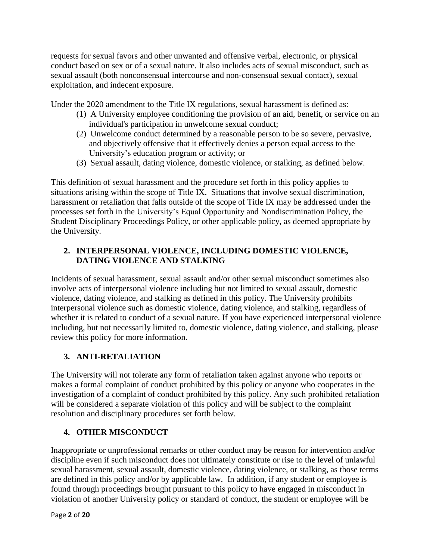requests for sexual favors and other unwanted and offensive verbal, electronic, or physical conduct based on sex or of a sexual nature. It also includes acts of sexual misconduct, such as sexual assault (both nonconsensual intercourse and non-consensual sexual contact), sexual exploitation, and indecent exposure.

Under the 2020 amendment to the Title IX regulations, sexual harassment is defined as:

- (1) A University employee conditioning the provision of an aid, benefit, or service on an individual's participation in unwelcome sexual conduct;
- (2) Unwelcome conduct determined by a reasonable person to be so severe, pervasive, and objectively offensive that it effectively denies a person equal access to the University's education program or activity; or
- (3) Sexual assault, dating violence, domestic violence, or stalking, as defined below.

This definition of sexual harassment and the procedure set forth in this policy applies to situations arising within the scope of Title IX. Situations that involve sexual discrimination, harassment or retaliation that falls outside of the scope of Title IX may be addressed under the processes set forth in the University's Equal Opportunity and Nondiscrimination Policy, the Student Disciplinary Proceedings Policy, or other applicable policy, as deemed appropriate by the University.

# **2. INTERPERSONAL VIOLENCE, INCLUDING DOMESTIC VIOLENCE, DATING VIOLENCE AND STALKING**

Incidents of sexual harassment, sexual assault and/or other sexual misconduct sometimes also involve acts of interpersonal violence including but not limited to sexual assault, domestic violence, dating violence, and stalking as defined in this policy. The University prohibits interpersonal violence such as domestic violence, dating violence, and stalking, regardless of whether it is related to conduct of a sexual nature. If you have experienced interpersonal violence including, but not necessarily limited to, domestic violence, dating violence, and stalking, please review this policy for more information.

# **3. ANTI-RETALIATION**

The University will not tolerate any form of retaliation taken against anyone who reports or makes a formal complaint of conduct prohibited by this policy or anyone who cooperates in the investigation of a complaint of conduct prohibited by this policy. Any such prohibited retaliation will be considered a separate violation of this policy and will be subject to the complaint resolution and disciplinary procedures set forth below.

# **4. OTHER MISCONDUCT**

Inappropriate or unprofessional remarks or other conduct may be reason for intervention and/or discipline even if such misconduct does not ultimately constitute or rise to the level of unlawful sexual harassment, sexual assault, domestic violence, dating violence, or stalking, as those terms are defined in this policy and/or by applicable law. In addition, if any student or employee is found through proceedings brought pursuant to this policy to have engaged in misconduct in violation of another University policy or standard of conduct, the student or employee will be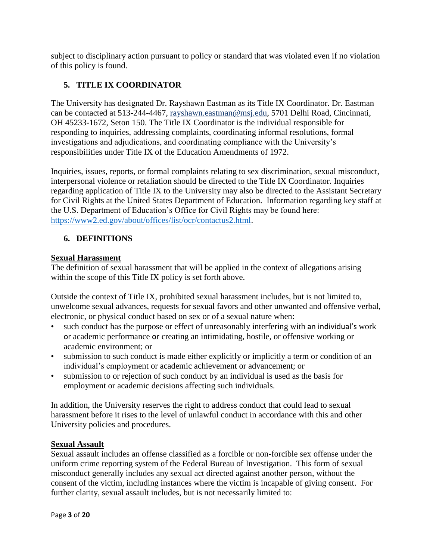subject to disciplinary action pursuant to policy or standard that was violated even if no violation of this policy is found.

# **5. TITLE IX COORDINATOR**

The University has designated Dr. Rayshawn Eastman as its Title IX Coordinator. Dr. Eastman can be contacted at 513-244-4467, [rayshawn.eastman@msj.edu,](mailto:rayshawn.eastman@msj.edu) 5701 Delhi Road, Cincinnati, OH 45233-1672, Seton 150. The Title IX Coordinator is the individual responsible for responding to inquiries, addressing complaints, coordinating informal resolutions, formal investigations and adjudications, and coordinating compliance with the University's responsibilities under Title IX of the Education Amendments of 1972.

Inquiries, issues, reports, or formal complaints relating to sex discrimination, sexual misconduct, interpersonal violence or retaliation should be directed to the Title IX Coordinator. Inquiries regarding application of Title IX to the University may also be directed to the Assistant Secretary for Civil Rights at the United States Department of Education. Information regarding key staff at the U.S. Department of Education's Office for Civil Rights may be found here: [https://www2.ed.gov/about/offices/list/ocr/contactus2.html.](https://www2.ed.gov/about/offices/list/ocr/contactus2.html)

# **6. DEFINITIONS**

## **Sexual Harassment**

The definition of sexual harassment that will be applied in the context of allegations arising within the scope of this Title IX policy is set forth above.

Outside the context of Title IX, prohibited sexual harassment includes, but is not limited to, unwelcome sexual advances, requests for sexual favors and other unwanted and offensive verbal, electronic, or physical conduct based on sex or of a sexual nature when:

- such conduct has the purpose or effect of unreasonably interfering with an individual's work or academic performance or creating an intimidating, hostile, or offensive working or academic environment; or
- submission to such conduct is made either explicitly or implicitly a term or condition of an individual's employment or academic achievement or advancement; or
- submission to or rejection of such conduct by an individual is used as the basis for employment or academic decisions affecting such individuals.

In addition, the University reserves the right to address conduct that could lead to sexual harassment before it rises to the level of unlawful conduct in accordance with this and other University policies and procedures.

## **Sexual Assault**

Sexual assault includes an offense classified as a forcible or non-forcible sex offense under the uniform crime reporting system of the Federal Bureau of Investigation. This form of sexual misconduct generally includes any sexual act directed against another person, without the consent of the victim, including instances where the victim is incapable of giving consent. For further clarity, sexual assault includes, but is not necessarily limited to: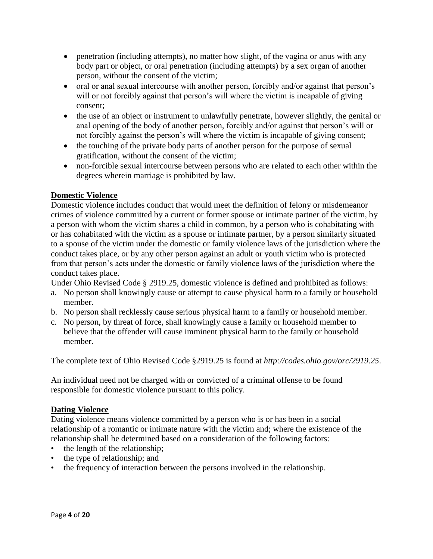- penetration (including attempts), no matter how slight, of the vagina or anus with any body part or object, or oral penetration (including attempts) by a sex organ of another person, without the consent of the victim;
- oral or anal sexual intercourse with another person, forcibly and/or against that person's will or not forcibly against that person's will where the victim is incapable of giving consent;
- the use of an object or instrument to unlawfully penetrate, however slightly, the genital or anal opening of the body of another person, forcibly and/or against that person's will or not forcibly against the person's will where the victim is incapable of giving consent;
- the touching of the private body parts of another person for the purpose of sexual gratification, without the consent of the victim;
- non-forcible sexual intercourse between persons who are related to each other within the degrees wherein marriage is prohibited by law.

# **Domestic Violence**

Domestic violence includes conduct that would meet the definition of felony or misdemeanor crimes of violence committed by a current or former spouse or intimate partner of the victim, by a person with whom the victim shares a child in common, by a person who is cohabitating with or has cohabitated with the victim as a spouse or intimate partner, by a person similarly situated to a spouse of the victim under the domestic or family violence laws of the jurisdiction where the conduct takes place, or by any other person against an adult or youth victim who is protected from that person's acts under the domestic or family violence laws of the jurisdiction where the conduct takes place.

Under Ohio Revised Code § 2919.25, domestic violence is defined and prohibited as follows:

- a. No person shall knowingly cause or attempt to cause physical harm to a family or household member.
- b. No person shall recklessly cause serious physical harm to a family or household member.
- c. No person, by threat of force, shall knowingly cause a family or household member to believe that the offender will cause imminent physical harm to the family or household member.

The complete text of Ohio Revised Code §2919.25 is found at *http://codes.ohio.gov/orc/2919.25*.

An individual need not be charged with or convicted of a criminal offense to be found responsible for domestic violence pursuant to this policy.

## **Dating Violence**

Dating violence means violence committed by a person who is or has been in a social relationship of a romantic or intimate nature with the victim and; where the existence of the relationship shall be determined based on a consideration of the following factors:

- the length of the relationship;
- the type of relationship; and
- the frequency of interaction between the persons involved in the relationship.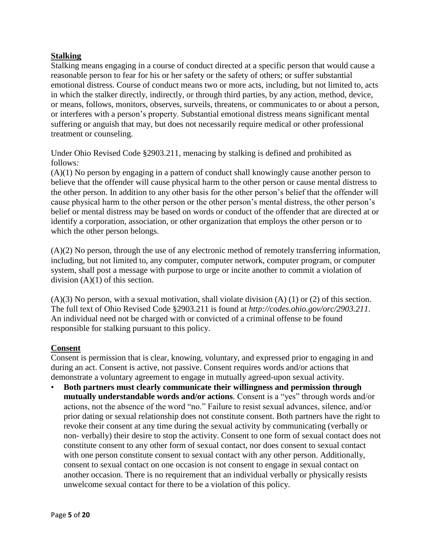## **Stalking**

Stalking means engaging in a course of conduct directed at a specific person that would cause a reasonable person to fear for his or her safety or the safety of others; or suffer substantial emotional distress. Course of conduct means two or more acts, including, but not limited to, acts in which the stalker directly, indirectly, or through third parties, by any action, method, device, or means, follows, monitors, observes, surveils, threatens, or communicates to or about a person, or interferes with a person's property. Substantial emotional distress means significant mental suffering or anguish that may, but does not necessarily require medical or other professional treatment or counseling.

Under Ohio Revised Code §2903.211*,* menacing by stalking is defined and prohibited as follows*:*

(A)(1) No person by engaging in a pattern of conduct shall knowingly cause another person to believe that the offender will cause physical harm to the other person or cause mental distress to the other person. In addition to any other basis for the other person's belief that the offender will cause physical harm to the other person or the other person's mental distress, the other person's belief or mental distress may be based on words or conduct of the offender that are directed at or identify a corporation, association, or other organization that employs the other person or to which the other person belongs.

(A)(2) No person, through the use of any electronic method of remotely transferring information, including, but not limited to, any computer, computer network, computer program, or computer system, shall post a message with purpose to urge or incite another to commit a violation of division  $(A)(1)$  of this section.

(A)(3) No person, with a sexual motivation, shall violate division (A) (1) or (2) of this section. The full text of Ohio Revised Code §2903.211 is found at *http://codes.ohio.gov/orc/2903.211*. An individual need not be charged with or convicted of a criminal offense to be found responsible for stalking pursuant to this policy.

## **Consent**

Consent is permission that is clear, knowing, voluntary, and expressed prior to engaging in and during an act. Consent is active, not passive. Consent requires words and/or actions that demonstrate a voluntary agreement to engage in mutually agreed-upon sexual activity.

• **Both partners must clearly communicate their willingness and permission through mutually understandable words and/or actions**. Consent is a "yes" through words and/or actions, not the absence of the word "no." Failure to resist sexual advances, silence, and/or prior dating or sexual relationship does not constitute consent. Both partners have the right to revoke their consent at any time during the sexual activity by communicating (verbally or non- verbally) their desire to stop the activity. Consent to one form of sexual contact does not constitute consent to any other form of sexual contact, nor does consent to sexual contact with one person constitute consent to sexual contact with any other person. Additionally, consent to sexual contact on one occasion is not consent to engage in sexual contact on another occasion. There is no requirement that an individual verbally or physically resists unwelcome sexual contact for there to be a violation of this policy.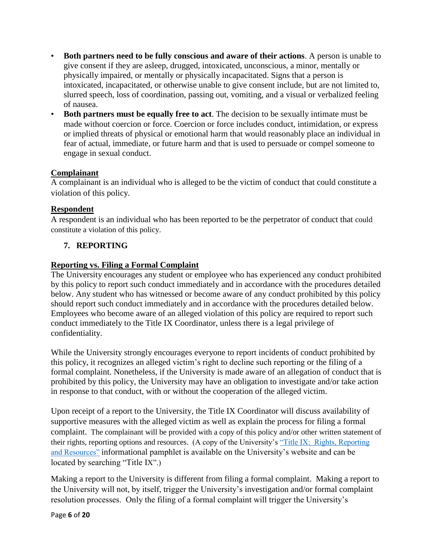- **Both partners need to be fully conscious and aware of their actions**. A person is unable to give consent if they are asleep, drugged, intoxicated, unconscious, a minor, mentally or physically impaired, or mentally or physically incapacitated. Signs that a person is intoxicated, incapacitated, or otherwise unable to give consent include, but are not limited to, slurred speech, loss of coordination, passing out, vomiting, and a visual or verbalized feeling of nausea.
- **Both partners must be equally free to act**. The decision to be sexually intimate must be made without coercion or force. Coercion or force includes conduct, intimidation, or express or implied threats of physical or emotional harm that would reasonably place an individual in fear of actual, immediate, or future harm and that is used to persuade or compel someone to engage in sexual conduct.

# **Complainant**

A complainant is an individual who is alleged to be the victim of conduct that could constitute a violation of this policy.

# **Respondent**

A respondent is an individual who has been reported to be the perpetrator of conduct that could constitute a violation of this policy.

# **7. REPORTING**

## **Reporting vs. Filing a Formal Complaint**

The University encourages any student or employee who has experienced any conduct prohibited by this policy to report such conduct immediately and in accordance with the procedures detailed below. Any student who has witnessed or become aware of any conduct prohibited by this policy should report such conduct immediately and in accordance with the procedures detailed below. Employees who become aware of an alleged violation of this policy are required to report such conduct immediately to the Title IX Coordinator, unless there is a legal privilege of confidentiality.

While the University strongly encourages everyone to report incidents of conduct prohibited by this policy, it recognizes an alleged victim's right to decline such reporting or the filing of a formal complaint. Nonetheless, if the University is made aware of an allegation of conduct that is prohibited by this policy, the University may have an obligation to investigate and/or take action in response to that conduct, with or without the cooperation of the alleged victim.

Upon receipt of a report to the University, the Title IX Coordinator will discuss availability of supportive measures with the alleged victim as well as explain the process for filing a formal complaint. The complainant will be provided with a copy of this policy and/or other written statement of their rights, reporting options and resources. (A copy of the University's ["Title IX: Rights, Reporting](https://mymount.msj.edu/ICS/icsfs/Title_IX_Pamphlet.pdf?target=9d48912f-ff83-482e-9ff5-32b6913e45fc)  [and Resources"](https://mymount.msj.edu/ICS/icsfs/Title_IX_Pamphlet.pdf?target=9d48912f-ff83-482e-9ff5-32b6913e45fc) informational pamphlet is available on the University's website and can be located by searching "Title IX".)

Making a report to the University is different from filing a formal complaint. Making a report to the University will not, by itself, trigger the University's investigation and/or formal complaint resolution processes. Only the filing of a formal complaint will trigger the University's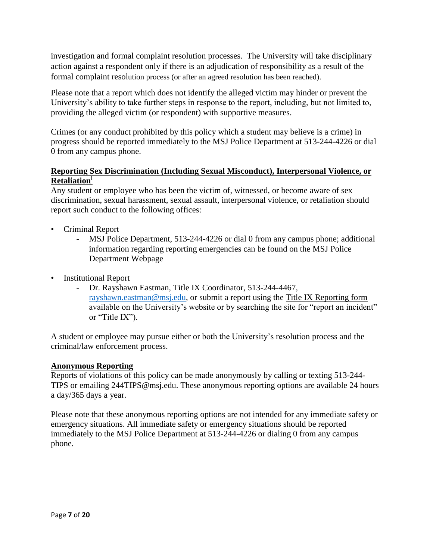investigation and formal complaint resolution processes. The University will take disciplinary action against a respondent only if there is an adjudication of responsibility as a result of the formal complaint resolution process (or after an agreed resolution has been reached).

Please note that a report which does not identify the alleged victim may hinder or prevent the University's ability to take further steps in response to the report, including, but not limited to, providing the alleged victim (or respondent) with supportive measures.

Crimes (or any conduct prohibited by this policy which a student may believe is a crime) in progress should be reported immediately to the MSJ Police Department at 513-244-4226 or dial 0 from any campus phone.

# **Reporting Sex Discrimination (Including Sexual Misconduct), Interpersonal Violence, or Retaliation**<sup>i</sup>

Any student or employee who has been the victim of, witnessed, or become aware of sex discrimination, sexual harassment, sexual assault, interpersonal violence, or retaliation should report such conduct to the following offices:

- Criminal Report
	- MSJ Police Department, 513-244-4226 or dial 0 from any campus phone; additional information regarding reporting emergencies can be found on the MSJ Police Department Webpage
- Institutional Report
	- Dr. Rayshawn Eastman, Title IX Coordinator, 513-244-4467, [rayshawn.eastman@msj.edu,](mailto:rayshawn.eastman@msj.edu) or submit a report using the Title IX Reporting form available on the University's website or by searching the site for "report an incident" or "Title IX").

A student or employee may pursue either or both the University's resolution process and the criminal/law enforcement process.

## **Anonymous Reporting**

Reports of violations of this policy can be made anonymously by calling or texting 513-244- TIPS or emailing 244TIPS@msj.edu. These anonymous reporting options are available 24 hours a day/365 days a year.

Please note that these anonymous reporting options are not intended for any immediate safety or emergency situations. All immediate safety or emergency situations should be reported immediately to the MSJ Police Department at 513-244-4226 or dialing 0 from any campus phone.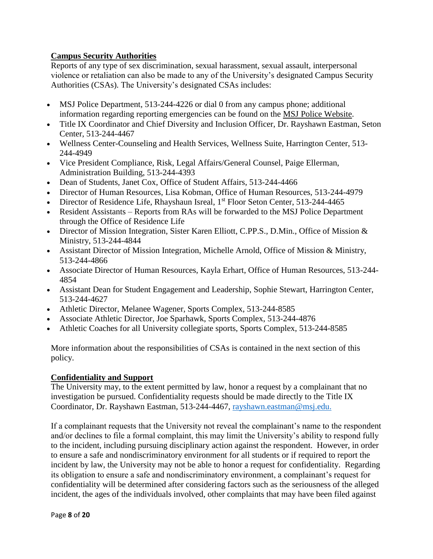# **Campus Security Authorities**

Reports of any type of sex discrimination, sexual harassment, sexual assault, interpersonal violence or retaliation can also be made to any of the University's designated Campus Security Authorities (CSAs). The University's designated CSAs includes:

- MSJ Police Department, 513-244-4226 or dial 0 from any campus phone; additional information regarding reporting emergencies can be found on the MSJ Police [Website.](https://www.msj.edu/student-life/public-safety-campus-police/index.html)
- Title IX Coordinator and Chief Diversity and Inclusion Officer, Dr. Rayshawn Eastman, Seton Center, 513-244-4467
- Wellness Center-Counseling and Health Services, Wellness Suite, Harrington Center, 513- 244-4949
- Vice President Compliance, Risk, Legal Affairs/General Counsel, Paige Ellerman, Administration Building, 513-244-4393
- Dean of Students, Janet Cox, Office of Student Affairs, 513-244-4466
- Director of Human Resources, Lisa Kobman, Office of Human Resources, 513-244-4979
- Director of Residence Life, Rhayshaun Isreal, 1<sup>st</sup> Floor Seton Center, 513-244-4465
- Resident Assistants Reports from RAs will be forwarded to the MSJ Police Department through the Office of Residence Life
- Director of Mission Integration, Sister Karen Elliott, C.PP.S., D.Min., Office of Mission & Ministry, 513-244-4844
- Assistant Director of Mission Integration, Michelle Arnold, Office of Mission & Ministry, 513-244-4866
- Associate Director of Human Resources, Kayla Erhart, Office of Human Resources, 513-244- 4854
- Assistant Dean for Student Engagement and Leadership, Sophie Stewart, Harrington Center, 513-244-4627
- Athletic Director, Melanee Wagener, Sports Complex, 513-244-8585
- Associate Athletic Director, Joe Sparhawk, Sports Complex, 513-244-4876
- Athletic Coaches for all University collegiate sports, Sports Complex, 513-244-8585

More information about the responsibilities of CSAs is contained in the next section of this policy.

## **Confidentiality and Support**

The University may, to the extent permitted by law, honor a request by a complainant that no investigation be pursued. Confidentiality requests should be made directly to the Title IX Coordinator, Dr. Rayshawn Eastman, 513-244-4467, [rayshawn.eastman@msj.edu.](mailto:rayshawn.eastman@msj.edu)

If a complainant requests that the University not reveal the complainant's name to the respondent and/or declines to file a formal complaint, this may limit the University's ability to respond fully to the incident, including pursuing disciplinary action against the respondent. However, in order to ensure a safe and nondiscriminatory environment for all students or if required to report the incident by law, the University may not be able to honor a request for confidentiality. Regarding its obligation to ensure a safe and nondiscriminatory environment, a complainant's request for confidentiality will be determined after considering factors such as the seriousness of the alleged incident, the ages of the individuals involved, other complaints that may have been filed against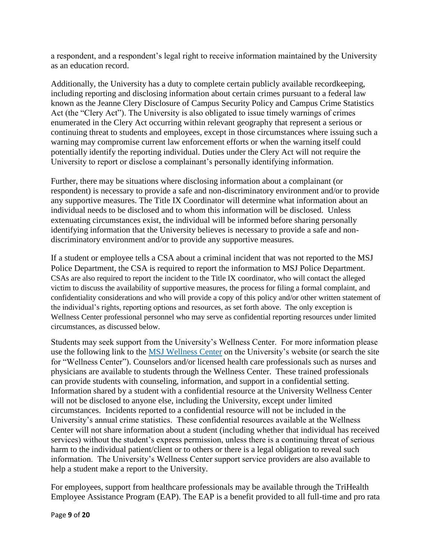a respondent, and a respondent's legal right to receive information maintained by the University as an education record.

Additionally, the University has a duty to complete certain publicly available recordkeeping, including reporting and disclosing information about certain crimes pursuant to a federal law known as the Jeanne Clery Disclosure of Campus Security Policy and Campus Crime Statistics Act (the "Clery Act"). The University is also obligated to issue timely warnings of crimes enumerated in the Clery Act occurring within relevant geography that represent a serious or continuing threat to students and employees, except in those circumstances where issuing such a warning may compromise current law enforcement efforts or when the warning itself could potentially identify the reporting individual. Duties under the Clery Act will not require the University to report or disclose a complainant's personally identifying information.

Further, there may be situations where disclosing information about a complainant (or respondent) is necessary to provide a safe and non-discriminatory environment and/or to provide any supportive measures. The Title IX Coordinator will determine what information about an individual needs to be disclosed and to whom this information will be disclosed. Unless extenuating circumstances exist, the individual will be informed before sharing personally identifying information that the University believes is necessary to provide a safe and nondiscriminatory environment and/or to provide any supportive measures.

If a student or employee tells a CSA about a criminal incident that was not reported to the MSJ Police Department, the CSA is required to report the information to MSJ Police Department. CSAs are also required to report the incident to the Title IX coordinator, who will contact the alleged victim to discuss the availability of supportive measures, the process for filing a formal complaint, and confidentiality considerations and who will provide a copy of this policy and/or other written statement of the individual's rights, reporting options and resources, as set forth above. The only exception is Wellness Center professional personnel who may serve as confidential reporting resources under limited circumstances, as discussed below.

Students may seek support from the University's Wellness Center. For more information please use the following link to the [MSJ Wellness Center](https://www.msj.edu/student-life/wellness-health-resources/index.html) on the University's website (or search the site for "Wellness Center"). Counselors and/or licensed health care professionals such as nurses and physicians are available to students through the Wellness Center. These trained professionals can provide students with counseling, information, and support in a confidential setting. Information shared by a student with a confidential resource at the University Wellness Center will not be disclosed to anyone else, including the University, except under limited circumstances. Incidents reported to a confidential resource will not be included in the University's annual crime statistics. These confidential resources available at the Wellness Center will not share information about a student (including whether that individual has received services) without the student's express permission, unless there is a continuing threat of serious harm to the individual patient/client or to others or there is a legal obligation to reveal such information. The University's Wellness Center support service providers are also available to help a student make a report to the University.

For employees, support from healthcare professionals may be available through the TriHealth Employee Assistance Program (EAP). The EAP is a benefit provided to all full-time and pro rata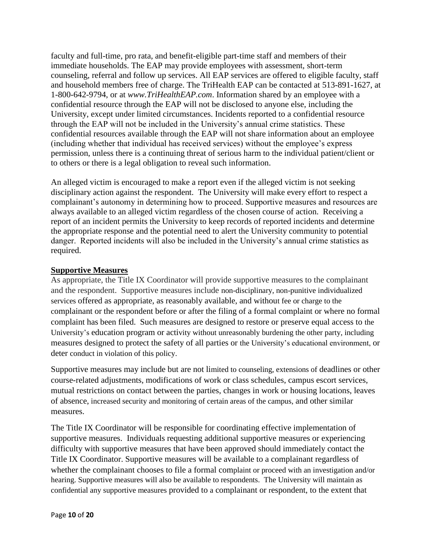faculty and full-time, pro rata, and benefit-eligible part-time staff and members of their immediate households. The EAP may provide employees with assessment, short-term counseling, referral and follow up services. All EAP services are offered to eligible faculty, staff and household members free of charge. The TriHealth EAP can be contacted at 513-891-1627, at 1-800-642-9794, or at *www.TriHealthEAP.com*. Information shared by an employee with a confidential resource through the EAP will not be disclosed to anyone else, including the University, except under limited circumstances. Incidents reported to a confidential resource through the EAP will not be included in the University's annual crime statistics. These confidential resources available through the EAP will not share information about an employee (including whether that individual has received services) without the employee's express permission, unless there is a continuing threat of serious harm to the individual patient/client or to others or there is a legal obligation to reveal such information.

An alleged victim is encouraged to make a report even if the alleged victim is not seeking disciplinary action against the respondent. The University will make every effort to respect a complainant's autonomy in determining how to proceed. Supportive measures and resources are always available to an alleged victim regardless of the chosen course of action. Receiving a report of an incident permits the University to keep records of reported incidents and determine the appropriate response and the potential need to alert the University community to potential danger. Reported incidents will also be included in the University's annual crime statistics as required.

#### **Supportive Measures**

As appropriate, the Title IX Coordinator will provide supportive measures to the complainant and the respondent. Supportive measures include non-disciplinary, non-punitive individualized services offered as appropriate, as reasonably available, and without fee or charge to the complainant or the respondent before or after the filing of a formal complaint or where no formal complaint has been filed. Such measures are designed to restore or preserve equal access to the University's education program or activity without unreasonably burdening the other party, including measures designed to protect the safety of all parties or the University's educational environment, or deter conduct in violation of this policy.

Supportive measures may include but are not limited to counseling, extensions of deadlines or other course-related adjustments, modifications of work or class schedules, campus escort services, mutual restrictions on contact between the parties, changes in work or housing locations, leaves of absence, increased security and monitoring of certain areas of the campus, and other similar measures.

The Title IX Coordinator will be responsible for coordinating effective implementation of supportive measures. Individuals requesting additional supportive measures or experiencing difficulty with supportive measures that have been approved should immediately contact the Title IX Coordinator. Supportive measures will be available to a complainant regardless of whether the complainant chooses to file a formal complaint or proceed with an investigation and/or hearing. Supportive measures will also be available to respondents. The University will maintain as confidential any supportive measures provided to a complainant or respondent, to the extent that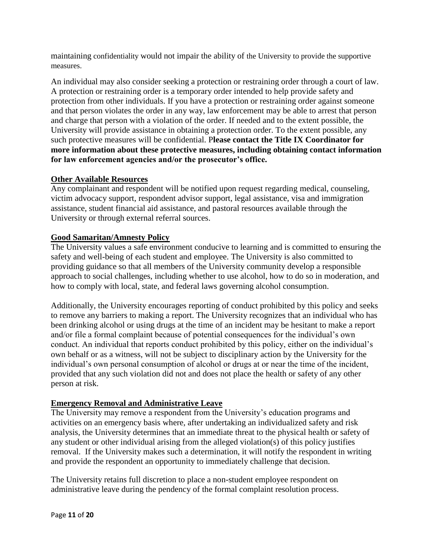maintaining confidentiality would not impair the ability of the University to provide the supportive measures.

An individual may also consider seeking a protection or restraining order through a court of law. A protection or restraining order is a temporary order intended to help provide safety and protection from other individuals. If you have a protection or restraining order against someone and that person violates the order in any way, law enforcement may be able to arrest that person and charge that person with a violation of the order. If needed and to the extent possible, the University will provide assistance in obtaining a protection order. To the extent possible, any such protective measures will be confidential. P**lease contact the Title IX Coordinator for more information about these protective measures, including obtaining contact information for law enforcement agencies and/or the prosecutor's office.**

#### **Other Available Resources**

Any complainant and respondent will be notified upon request regarding medical, counseling, victim advocacy support, respondent advisor support, legal assistance, visa and immigration assistance, student financial aid assistance, and pastoral resources available through the University or through external referral sources.

## **Good Samaritan/Amnesty Policy**

The University values a safe environment conducive to learning and is committed to ensuring the safety and well-being of each student and employee. The University is also committed to providing guidance so that all members of the University community develop a responsible approach to social challenges, including whether to use alcohol, how to do so in moderation, and how to comply with local, state, and federal laws governing alcohol consumption.

Additionally, the University encourages reporting of conduct prohibited by this policy and seeks to remove any barriers to making a report. The University recognizes that an individual who has been drinking alcohol or using drugs at the time of an incident may be hesitant to make a report and/or file a formal complaint because of potential consequences for the individual's own conduct. An individual that reports conduct prohibited by this policy, either on the individual's own behalf or as a witness, will not be subject to disciplinary action by the University for the individual's own personal consumption of alcohol or drugs at or near the time of the incident, provided that any such violation did not and does not place the health or safety of any other person at risk.

## **Emergency Removal and Administrative Leave**

The University may remove a respondent from the University's education programs and activities on an emergency basis where, after undertaking an individualized safety and risk analysis, the University determines that an immediate threat to the physical health or safety of any student or other individual arising from the alleged violation(s) of this policy justifies removal. If the University makes such a determination, it will notify the respondent in writing and provide the respondent an opportunity to immediately challenge that decision.

The University retains full discretion to place a non-student employee respondent on administrative leave during the pendency of the formal complaint resolution process.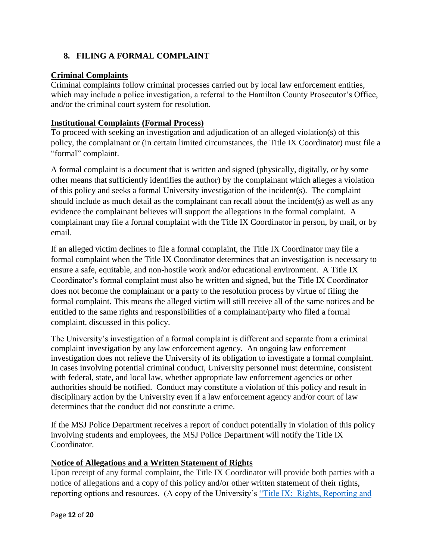# **8. FILING A FORMAL COMPLAINT**

#### **Criminal Complaints**

Criminal complaints follow criminal processes carried out by local law enforcement entities, which may include a police investigation, a referral to the Hamilton County Prosecutor's Office, and/or the criminal court system for resolution.

#### **Institutional Complaints (Formal Process)**

To proceed with seeking an investigation and adjudication of an alleged violation(s) of this policy, the complainant or (in certain limited circumstances, the Title IX Coordinator) must file a "formal" complaint.

A formal complaint is a document that is written and signed (physically, digitally, or by some other means that sufficiently identifies the author) by the complainant which alleges a violation of this policy and seeks a formal University investigation of the incident(s). The complaint should include as much detail as the complainant can recall about the incident(s) as well as any evidence the complainant believes will support the allegations in the formal complaint. A complainant may file a formal complaint with the Title IX Coordinator in person, by mail, or by email.

If an alleged victim declines to file a formal complaint, the Title IX Coordinator may file a formal complaint when the Title IX Coordinator determines that an investigation is necessary to ensure a safe, equitable, and non-hostile work and/or educational environment. A Title IX Coordinator's formal complaint must also be written and signed, but the Title IX Coordinator does not become the complainant or a party to the resolution process by virtue of filing the formal complaint. This means the alleged victim will still receive all of the same notices and be entitled to the same rights and responsibilities of a complainant/party who filed a formal complaint, discussed in this policy.

The University's investigation of a formal complaint is different and separate from a criminal complaint investigation by any law enforcement agency. An ongoing law enforcement investigation does not relieve the University of its obligation to investigate a formal complaint. In cases involving potential criminal conduct, University personnel must determine, consistent with federal, state, and local law, whether appropriate law enforcement agencies or other authorities should be notified. Conduct may constitute a violation of this policy and result in disciplinary action by the University even if a law enforcement agency and/or court of law determines that the conduct did not constitute a crime.

If the MSJ Police Department receives a report of conduct potentially in violation of this policy involving students and employees, the MSJ Police Department will notify the Title IX Coordinator.

## **Notice of Allegations and a Written Statement of Rights**

Upon receipt of any formal complaint, the Title IX Coordinator will provide both parties with a notice of allegations and a copy of this policy and/or other written statement of their rights, reporting options and resources. (A copy of the University's ["Title IX: Rights, Reporting and](https://mymount.msj.edu/ICS/icsfs/Title_IX_Pamphlet.pdf?target=9d48912f-ff83-482e-9ff5-32b6913e45fc)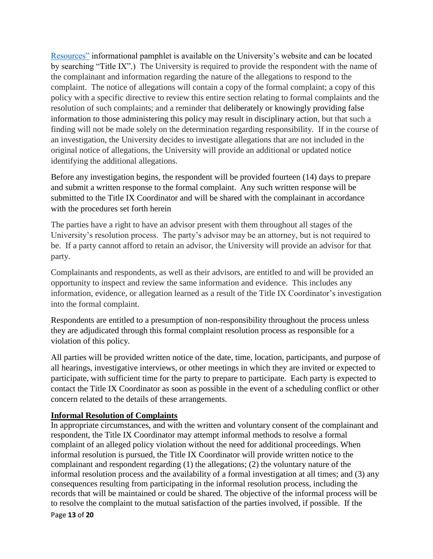[Resources"](https://mymount.msj.edu/ICS/icsfs/Title_IX_Pamphlet.pdf?target=9d48912f-ff83-482e-9ff5-32b6913e45fc) informational pamphlet is available on the University's website and can be located by searching "Title IX".) The University is required to provide the respondent with the name of the complainant and information regarding the nature of the allegations to respond to the complaint. The notice of allegations will contain a copy of the formal complaint; a copy of this policy with a specific directive to review this entire section relating to formal complaints and the resolution of such complaints; and a reminder that deliberately or knowingly providing false information to those administering this policy may result in disciplinary action, but that such a finding will not be made solely on the determination regarding responsibility. If in the course of an investigation, the University decides to investigate allegations that are not included in the original notice of allegations, the University will provide an additional or updated notice identifying the additional allegations.

Before any investigation begins, the respondent will be provided fourteen (14) days to prepare and submit a written response to the formal complaint. Any such written response will be submitted to the Title IX Coordinator and will be shared with the complainant in accordance with the procedures set forth herein

The parties have a right to have an advisor present with them throughout all stages of the University's resolution process. The party's advisor may be an attorney, but is not required to be. If a party cannot afford to retain an advisor, the University will provide an advisor for that party.

Complainants and respondents, as well as their advisors, are entitled to and will be provided an opportunity to inspect and review the same information and evidence. This includes any information, evidence, or allegation learned as a result of the Title IX Coordinator's investigation into the formal complaint.

Respondents are entitled to a presumption of non-responsibility throughout the process unless they are adjudicated through this formal complaint resolution process as responsible for a violation of this policy.

All parties will be provided written notice of the date, time, location, participants, and purpose of all hearings, investigative interviews, or other meetings in which they are invited or expected to participate, with sufficient time for the party to prepare to participate. Each party is expected to contact the Title IX Coordinator as soon as possible in the event of a scheduling conflict or other concern related to the details of these arrangements.

## **Informal Resolution of Complaints**

Page **13** of **20** In appropriate circumstances, and with the written and voluntary consent of the complainant and respondent, the Title IX Coordinator may attempt informal methods to resolve a formal complaint of an alleged policy violation without the need for additional proceedings. When informal resolution is pursued, the Title IX Coordinator will provide written notice to the complainant and respondent regarding (1) the allegations; (2) the voluntary nature of the informal resolution process and the availability of a formal investigation at all times; and (3) any consequences resulting from participating in the informal resolution process, including the records that will be maintained or could be shared. The objective of the informal process will be to resolve the complaint to the mutual satisfaction of the parties involved, if possible. If the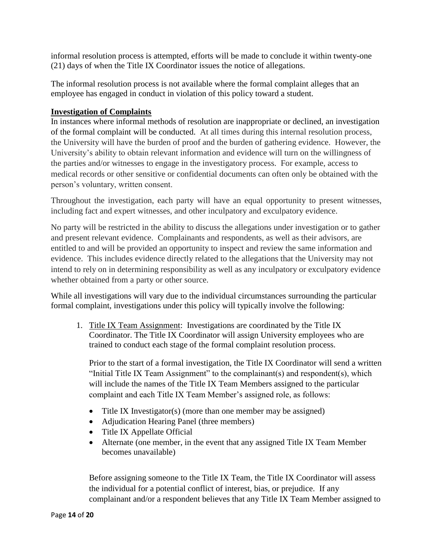informal resolution process is attempted, efforts will be made to conclude it within twenty-one (21) days of when the Title IX Coordinator issues the notice of allegations.

The informal resolution process is not available where the formal complaint alleges that an employee has engaged in conduct in violation of this policy toward a student.

## **Investigation of Complaints**

In instances where informal methods of resolution are inappropriate or declined, an investigation of the formal complaint will be conducted. At all times during this internal resolution process, the University will have the burden of proof and the burden of gathering evidence. However, the University's ability to obtain relevant information and evidence will turn on the willingness of the parties and/or witnesses to engage in the investigatory process. For example, access to medical records or other sensitive or confidential documents can often only be obtained with the person's voluntary, written consent.

Throughout the investigation, each party will have an equal opportunity to present witnesses, including fact and expert witnesses, and other inculpatory and exculpatory evidence.

No party will be restricted in the ability to discuss the allegations under investigation or to gather and present relevant evidence. Complainants and respondents, as well as their advisors, are entitled to and will be provided an opportunity to inspect and review the same information and evidence. This includes evidence directly related to the allegations that the University may not intend to rely on in determining responsibility as well as any inculpatory or exculpatory evidence whether obtained from a party or other source.

While all investigations will vary due to the individual circumstances surrounding the particular formal complaint, investigations under this policy will typically involve the following:

1. Title IX Team Assignment: Investigations are coordinated by the Title IX Coordinator. The Title IX Coordinator will assign University employees who are trained to conduct each stage of the formal complaint resolution process.

Prior to the start of a formal investigation, the Title IX Coordinator will send a written "Initial Title IX Team Assignment" to the complainant(s) and respondent(s), which will include the names of the Title IX Team Members assigned to the particular complaint and each Title IX Team Member's assigned role, as follows:

- Title IX Investigator(s) (more than one member may be assigned)
- Adjudication Hearing Panel (three members)
- Title IX Appellate Official
- Alternate (one member, in the event that any assigned Title IX Team Member becomes unavailable)

Before assigning someone to the Title IX Team, the Title IX Coordinator will assess the individual for a potential conflict of interest, bias, or prejudice. If any complainant and/or a respondent believes that any Title IX Team Member assigned to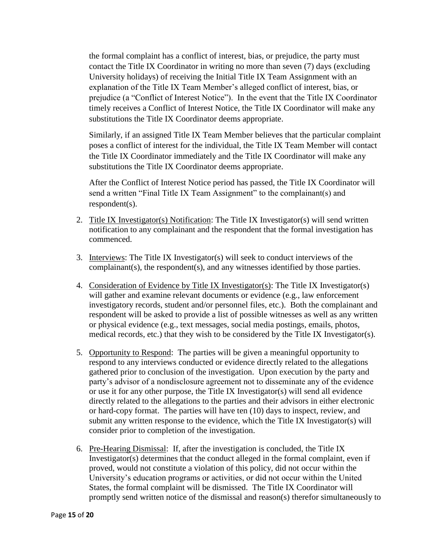the formal complaint has a conflict of interest, bias, or prejudice, the party must contact the Title IX Coordinator in writing no more than seven (7) days (excluding University holidays) of receiving the Initial Title IX Team Assignment with an explanation of the Title IX Team Member's alleged conflict of interest, bias, or prejudice (a "Conflict of Interest Notice"). In the event that the Title IX Coordinator timely receives a Conflict of Interest Notice, the Title IX Coordinator will make any substitutions the Title IX Coordinator deems appropriate.

Similarly, if an assigned Title IX Team Member believes that the particular complaint poses a conflict of interest for the individual, the Title IX Team Member will contact the Title IX Coordinator immediately and the Title IX Coordinator will make any substitutions the Title IX Coordinator deems appropriate.

After the Conflict of Interest Notice period has passed, the Title IX Coordinator will send a written "Final Title IX Team Assignment" to the complainant(s) and respondent(s).

- 2. Title IX Investigator(s) Notification: The Title IX Investigator(s) will send written notification to any complainant and the respondent that the formal investigation has commenced.
- 3. Interviews: The Title IX Investigator(s) will seek to conduct interviews of the complainant(s), the respondent(s), and any witnesses identified by those parties.
- 4. Consideration of Evidence by Title IX Investigator(s): The Title IX Investigator(s) will gather and examine relevant documents or evidence (e.g., law enforcement investigatory records, student and/or personnel files, etc.). Both the complainant and respondent will be asked to provide a list of possible witnesses as well as any written or physical evidence (e.g., text messages, social media postings, emails, photos, medical records, etc.) that they wish to be considered by the Title IX Investigator(s).
- 5. Opportunity to Respond: The parties will be given a meaningful opportunity to respond to any interviews conducted or evidence directly related to the allegations gathered prior to conclusion of the investigation. Upon execution by the party and party's advisor of a nondisclosure agreement not to disseminate any of the evidence or use it for any other purpose, the Title IX Investigator(s) will send all evidence directly related to the allegations to the parties and their advisors in either electronic or hard-copy format. The parties will have ten (10) days to inspect, review, and submit any written response to the evidence, which the Title IX Investigator(s) will consider prior to completion of the investigation.
- 6. Pre-Hearing Dismissal: If, after the investigation is concluded, the Title IX Investigator(s) determines that the conduct alleged in the formal complaint, even if proved, would not constitute a violation of this policy, did not occur within the University's education programs or activities, or did not occur within the United States, the formal complaint will be dismissed. The Title IX Coordinator will promptly send written notice of the dismissal and reason(s) therefor simultaneously to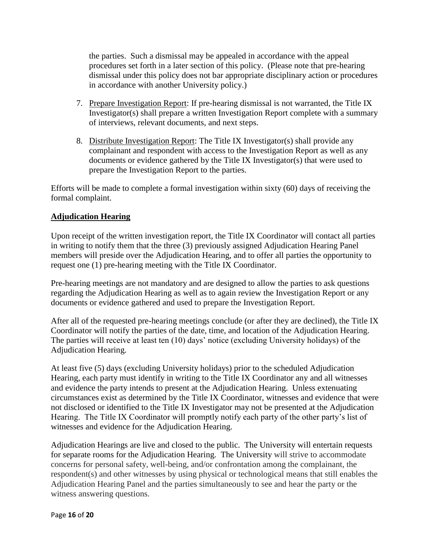the parties. Such a dismissal may be appealed in accordance with the appeal procedures set forth in a later section of this policy. (Please note that pre-hearing dismissal under this policy does not bar appropriate disciplinary action or procedures in accordance with another University policy.)

- 7. Prepare Investigation Report: If pre-hearing dismissal is not warranted, the Title IX Investigator(s) shall prepare a written Investigation Report complete with a summary of interviews, relevant documents, and next steps.
- 8. Distribute Investigation Report: The Title IX Investigator(s) shall provide any complainant and respondent with access to the Investigation Report as well as any documents or evidence gathered by the Title IX Investigator(s) that were used to prepare the Investigation Report to the parties.

Efforts will be made to complete a formal investigation within sixty (60) days of receiving the formal complaint.

## **Adjudication Hearing**

Upon receipt of the written investigation report, the Title IX Coordinator will contact all parties in writing to notify them that the three (3) previously assigned Adjudication Hearing Panel members will preside over the Adjudication Hearing, and to offer all parties the opportunity to request one (1) pre-hearing meeting with the Title IX Coordinator.

Pre-hearing meetings are not mandatory and are designed to allow the parties to ask questions regarding the Adjudication Hearing as well as to again review the Investigation Report or any documents or evidence gathered and used to prepare the Investigation Report.

After all of the requested pre-hearing meetings conclude (or after they are declined), the Title IX Coordinator will notify the parties of the date, time, and location of the Adjudication Hearing. The parties will receive at least ten (10) days' notice (excluding University holidays) of the Adjudication Hearing.

At least five (5) days (excluding University holidays) prior to the scheduled Adjudication Hearing, each party must identify in writing to the Title IX Coordinator any and all witnesses and evidence the party intends to present at the Adjudication Hearing. Unless extenuating circumstances exist as determined by the Title IX Coordinator, witnesses and evidence that were not disclosed or identified to the Title IX Investigator may not be presented at the Adjudication Hearing. The Title IX Coordinator will promptly notify each party of the other party's list of witnesses and evidence for the Adjudication Hearing.

Adjudication Hearings are live and closed to the public. The University will entertain requests for separate rooms for the Adjudication Hearing. The University will strive to accommodate concerns for personal safety, well-being, and/or confrontation among the complainant, the respondent(s) and other witnesses by using physical or technological means that still enables the Adjudication Hearing Panel and the parties simultaneously to see and hear the party or the witness answering questions.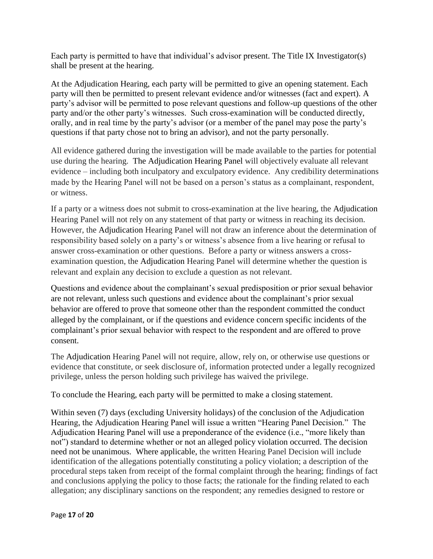Each party is permitted to have that individual's advisor present. The Title IX Investigator(s) shall be present at the hearing.

At the Adjudication Hearing, each party will be permitted to give an opening statement. Each party will then be permitted to present relevant evidence and/or witnesses (fact and expert). A party's advisor will be permitted to pose relevant questions and follow-up questions of the other party and/or the other party's witnesses. Such cross-examination will be conducted directly, orally, and in real time by the party's advisor (or a member of the panel may pose the party's questions if that party chose not to bring an advisor), and not the party personally.

All evidence gathered during the investigation will be made available to the parties for potential use during the hearing. The Adjudication Hearing Panel will objectively evaluate all relevant evidence – including both inculpatory and exculpatory evidence. Any credibility determinations made by the Hearing Panel will not be based on a person's status as a complainant, respondent, or witness.

If a party or a witness does not submit to cross-examination at the live hearing, the Adjudication Hearing Panel will not rely on any statement of that party or witness in reaching its decision. However, the Adjudication Hearing Panel will not draw an inference about the determination of responsibility based solely on a party's or witness's absence from a live hearing or refusal to answer cross-examination or other questions. Before a party or witness answers a crossexamination question, the Adjudication Hearing Panel will determine whether the question is relevant and explain any decision to exclude a question as not relevant.

Questions and evidence about the complainant's sexual predisposition or prior sexual behavior are not relevant, unless such questions and evidence about the complainant's prior sexual behavior are offered to prove that someone other than the respondent committed the conduct alleged by the complainant, or if the questions and evidence concern specific incidents of the complainant's prior sexual behavior with respect to the respondent and are offered to prove consent.

The Adjudication Hearing Panel will not require, allow, rely on, or otherwise use questions or evidence that constitute, or seek disclosure of, information protected under a legally recognized privilege, unless the person holding such privilege has waived the privilege.

To conclude the Hearing, each party will be permitted to make a closing statement.

Within seven (7) days (excluding University holidays) of the conclusion of the Adjudication Hearing, the Adjudication Hearing Panel will issue a written "Hearing Panel Decision." The Adjudication Hearing Panel will use a preponderance of the evidence (i.e., "more likely than not") standard to determine whether or not an alleged policy violation occurred. The decision need not be unanimous. Where applicable, the written Hearing Panel Decision will include identification of the allegations potentially constituting a policy violation; a description of the procedural steps taken from receipt of the formal complaint through the hearing; findings of fact and conclusions applying the policy to those facts; the rationale for the finding related to each allegation; any disciplinary sanctions on the respondent; any remedies designed to restore or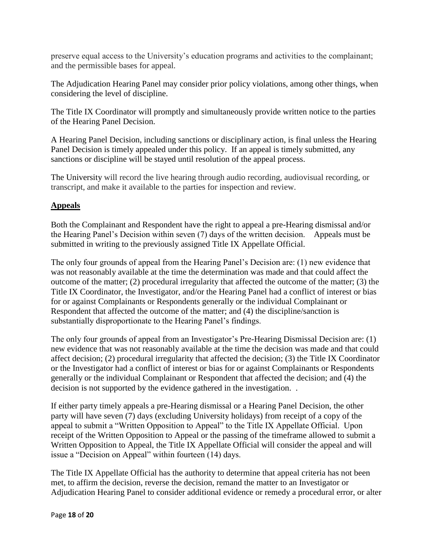preserve equal access to the University's education programs and activities to the complainant; and the permissible bases for appeal.

The Adjudication Hearing Panel may consider prior policy violations, among other things, when considering the level of discipline.

The Title IX Coordinator will promptly and simultaneously provide written notice to the parties of the Hearing Panel Decision.

A Hearing Panel Decision, including sanctions or disciplinary action, is final unless the Hearing Panel Decision is timely appealed under this policy. If an appeal is timely submitted, any sanctions or discipline will be stayed until resolution of the appeal process.

The University will record the live hearing through audio recording, audiovisual recording, or transcript, and make it available to the parties for inspection and review.

# **Appeals**

Both the Complainant and Respondent have the right to appeal a pre-Hearing dismissal and/or the Hearing Panel's Decision within seven (7) days of the written decision. Appeals must be submitted in writing to the previously assigned Title IX Appellate Official.

The only four grounds of appeal from the Hearing Panel's Decision are: (1) new evidence that was not reasonably available at the time the determination was made and that could affect the outcome of the matter;  $(2)$  procedural irregularity that affected the outcome of the matter;  $(3)$  the Title IX Coordinator, the Investigator, and/or the Hearing Panel had a conflict of interest or bias for or against Complainants or Respondents generally or the individual Complainant or Respondent that affected the outcome of the matter; and (4) the discipline/sanction is substantially disproportionate to the Hearing Panel's findings.

The only four grounds of appeal from an Investigator's Pre-Hearing Dismissal Decision are: (1) new evidence that was not reasonably available at the time the decision was made and that could affect decision; (2) procedural irregularity that affected the decision; (3) the Title IX Coordinator or the Investigator had a conflict of interest or bias for or against Complainants or Respondents generally or the individual Complainant or Respondent that affected the decision; and (4) the decision is not supported by the evidence gathered in the investigation. .

If either party timely appeals a pre-Hearing dismissal or a Hearing Panel Decision, the other party will have seven (7) days (excluding University holidays) from receipt of a copy of the appeal to submit a "Written Opposition to Appeal" to the Title IX Appellate Official. Upon receipt of the Written Opposition to Appeal or the passing of the timeframe allowed to submit a Written Opposition to Appeal, the Title IX Appellate Official will consider the appeal and will issue a "Decision on Appeal" within fourteen (14) days.

The Title IX Appellate Official has the authority to determine that appeal criteria has not been met, to affirm the decision, reverse the decision, remand the matter to an Investigator or Adjudication Hearing Panel to consider additional evidence or remedy a procedural error, or alter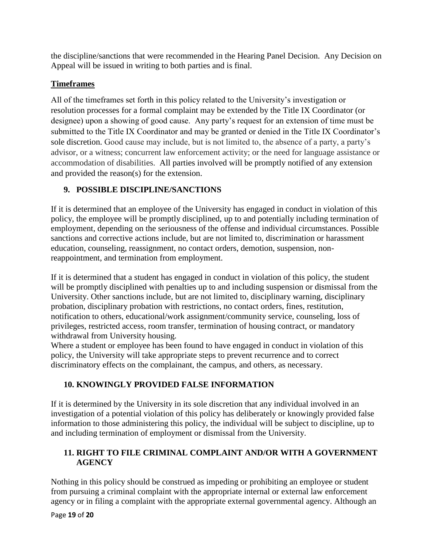the discipline/sanctions that were recommended in the Hearing Panel Decision. Any Decision on Appeal will be issued in writing to both parties and is final.

# **Timeframes**

All of the timeframes set forth in this policy related to the University's investigation or resolution processes for a formal complaint may be extended by the Title IX Coordinator (or designee) upon a showing of good cause. Any party's request for an extension of time must be submitted to the Title IX Coordinator and may be granted or denied in the Title IX Coordinator's sole discretion. Good cause may include, but is not limited to, the absence of a party, a party's advisor, or a witness; concurrent law enforcement activity; or the need for language assistance or accommodation of disabilities. All parties involved will be promptly notified of any extension and provided the reason(s) for the extension.

# **9. POSSIBLE DISCIPLINE/SANCTIONS**

If it is determined that an employee of the University has engaged in conduct in violation of this policy, the employee will be promptly disciplined, up to and potentially including termination of employment, depending on the seriousness of the offense and individual circumstances. Possible sanctions and corrective actions include, but are not limited to, discrimination or harassment education, counseling, reassignment, no contact orders, demotion, suspension, nonreappointment, and termination from employment.

If it is determined that a student has engaged in conduct in violation of this policy, the student will be promptly disciplined with penalties up to and including suspension or dismissal from the University. Other sanctions include, but are not limited to, disciplinary warning, disciplinary probation, disciplinary probation with restrictions, no contact orders, fines, restitution, notification to others, educational/work assignment/community service, counseling, loss of privileges, restricted access, room transfer, termination of housing contract, or mandatory withdrawal from University housing.

Where a student or employee has been found to have engaged in conduct in violation of this policy, the University will take appropriate steps to prevent recurrence and to correct discriminatory effects on the complainant, the campus, and others, as necessary.

# **10. KNOWINGLY PROVIDED FALSE INFORMATION**

If it is determined by the University in its sole discretion that any individual involved in an investigation of a potential violation of this policy has deliberately or knowingly provided false information to those administering this policy, the individual will be subject to discipline, up to and including termination of employment or dismissal from the University.

# **11. RIGHT TO FILE CRIMINAL COMPLAINT AND/OR WITH A GOVERNMENT AGENCY**

Nothing in this policy should be construed as impeding or prohibiting an employee or student from pursuing a criminal complaint with the appropriate internal or external law enforcement agency or in filing a complaint with the appropriate external governmental agency. Although an